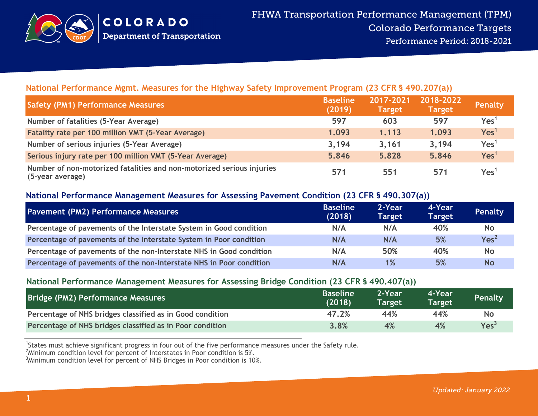

## **National Performance Mgmt. Measures for the Highway Safety Improvement Program (23 CFR § 490.207(a))**

| <b>Safety (PM1) Performance Measures</b>                                                  | <b>Baseline</b><br>(2019) | 2017-2021<br><b>Target</b> | 2018-2022<br><b>Target</b> | Penalty          |
|-------------------------------------------------------------------------------------------|---------------------------|----------------------------|----------------------------|------------------|
| Number of fatalities (5-Year Average)                                                     | 597                       | 603                        | 597                        | Yes <sup>1</sup> |
| Fatality rate per 100 million VMT (5-Year Average)                                        | 1.093                     | 1.113                      | 1.093                      | Yes <sup>1</sup> |
| Number of serious injuries (5-Year Average)                                               | 3,194                     | 3,161                      | 3,194                      | Yes <sup>1</sup> |
| Serious injury rate per 100 million VMT (5-Year Average)                                  | 5.846                     | 5.828                      | 5.846                      | Yes <sup>1</sup> |
| Number of non-motorized fatalities and non-motorized serious injuries<br>(5-year average) | 571                       | 551                        | 571                        | Yes <sup>1</sup> |

### **National Performance Management Measures for Assessing Pavement Condition (23 CFR § 490.307(a))**

| <b>Pavement (PM2) Performance Measures</b>                          | <b>Baseline</b><br>(2018) | 2-Year<br><b>Target</b> | 4-Year<br><b>Target</b> | Penalty          |
|---------------------------------------------------------------------|---------------------------|-------------------------|-------------------------|------------------|
| Percentage of pavements of the Interstate System in Good condition  | N/A                       | N/A                     | 40%                     | <b>No</b>        |
| Percentage of pavements of the Interstate System in Poor condition  | N/A                       | N/A                     | 5%                      | Yes <sup>2</sup> |
| Percentage of pavements of the non-Interstate NHS in Good condition | N/A                       | 50%                     | 40%                     | <b>No</b>        |
| Percentage of pavements of the non-Interstate NHS in Poor condition | N/A                       | 1%                      | 5%                      | <b>No</b>        |

### **National Performance Management Measures for Assessing Bridge Condition (23 CFR § 490.407(a))**

| Bridge (PM2) Performance Measures                         | <b>Baseline</b><br>(2018) | 2-Year<br>Target <sup>1</sup> | 4-Year<br><b>Target</b> | Penalty          |
|-----------------------------------------------------------|---------------------------|-------------------------------|-------------------------|------------------|
| Percentage of NHS bridges classified as in Good condition | 47.2%                     | 44%                           | 44%                     | No               |
| Percentage of NHS bridges classified as in Poor condition | 3.8%                      | 4%                            | 4%                      | Yes <sup>3</sup> |

<sup>1</sup>States must achieve significant progress in four out of the five performance measures under the Safety rule.

 $2$ Minimum condition level for percent of Interstates in Poor condition is 5%.

 $3$ Minimum condition level for percent of NHS Bridges in Poor condition is 10%.